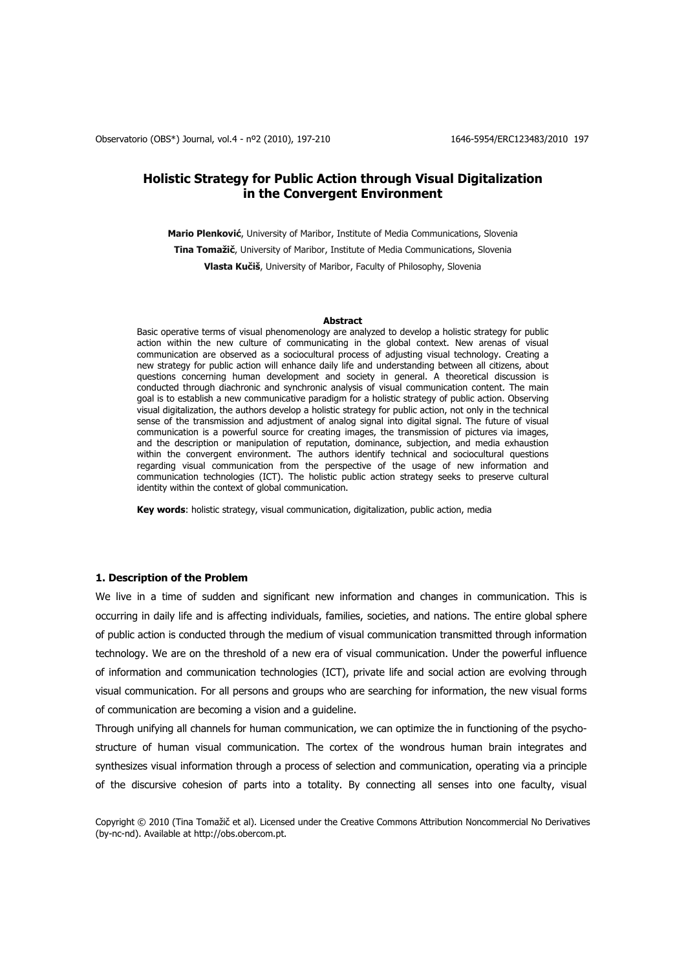# **Holistic Strategy for Public Action through Visual Digitalization in the Convergent Environment**

**Mario Plenković**, University of Maribor, Institute of Media Communications, Slovenia **Tina Tomažič**, University of Maribor, Institute of Media Communications, Slovenia **Vlasta Kučiš**, University of Maribor, Faculty of Philosophy, Slovenia

#### **Abstract**

Basic operative terms of visual phenomenology are analyzed to develop a holistic strategy for public action within the new culture of communicating in the global context. New arenas of visual communication are observed as a sociocultural process of adjusting visual technology. Creating a new strategy for public action will enhance daily life and understanding between all citizens, about questions concerning human development and society in general. A theoretical discussion is conducted through diachronic and synchronic analysis of visual communication content. The main goal is to establish a new communicative paradigm for a holistic strategy of public action. Observing visual digitalization, the authors develop a holistic strategy for public action, not only in the technical sense of the transmission and adjustment of analog signal into digital signal. The future of visual communication is a powerful source for creating images, the transmission of pictures via images, and the description or manipulation of reputation, dominance, subjection, and media exhaustion within the convergent environment. The authors identify technical and sociocultural questions regarding visual communication from the perspective of the usage of new information and communication technologies (ICT). The holistic public action strategy seeks to preserve cultural identity within the context of global communication.

**Key words**: holistic strategy, visual communication, digitalization, public action, media

### **1. Description of the Problem**

We live in a time of sudden and significant new information and changes in communication. This is occurring in daily life and is affecting individuals, families, societies, and nations. The entire global sphere of public action is conducted through the medium of visual communication transmitted through information technology. We are on the threshold of a new era of visual communication. Under the powerful influence of information and communication technologies (ICT), private life and social action are evolving through visual communication. For all persons and groups who are searching for information, the new visual forms of communication are becoming a vision and a guideline.

Through unifying all channels for human communication, we can optimize the in functioning of the psychostructure of human visual communication. The cortex of the wondrous human brain integrates and synthesizes visual information through a process of selection and communication, operating via a principle of the discursive cohesion of parts into a totality. By connecting all senses into one faculty, visual

Copyright © 2010 (Tina Tomažič et al). Licensed under the Creative Commons Attribution Noncommercial No Derivatives (by-nc-nd). Available at http://obs.obercom.pt.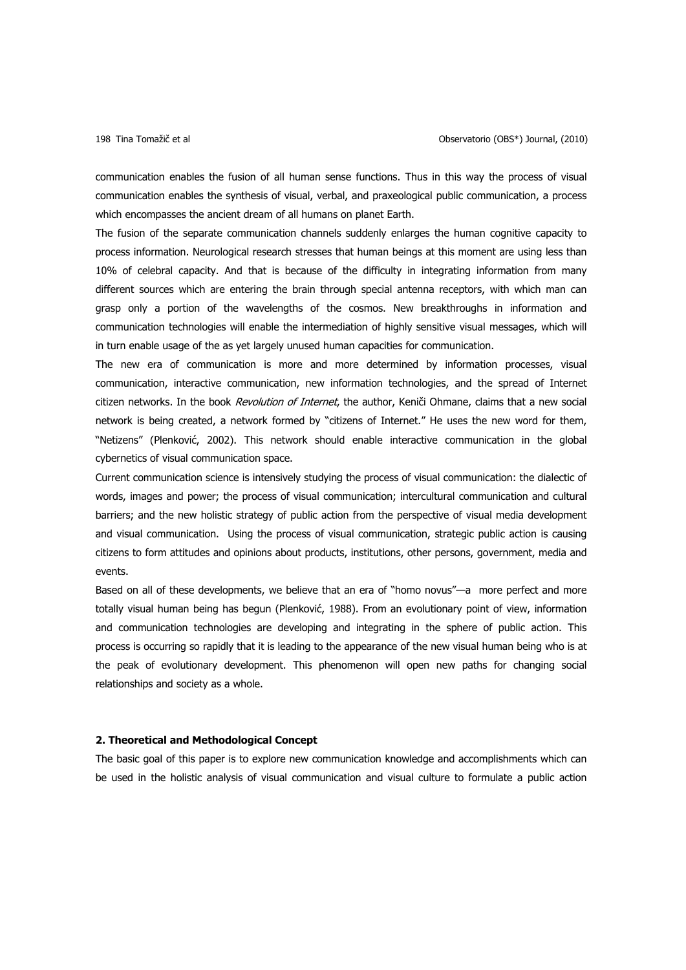communication enables the fusion of all human sense functions. Thus in this way the process of visual communication enables the synthesis of visual, verbal, and praxeological public communication, a process which encompasses the ancient dream of all humans on planet Earth.

The fusion of the separate communication channels suddenly enlarges the human cognitive capacity to process information. Neurological research stresses that human beings at this moment are using less than 10% of celebral capacity. And that is because of the difficulty in integrating information from many different sources which are entering the brain through special antenna receptors, with which man can grasp only a portion of the wavelengths of the cosmos. New breakthroughs in information and communication technologies will enable the intermediation of highly sensitive visual messages, which will in turn enable usage of the as yet largely unused human capacities for communication.

The new era of communication is more and more determined by information processes, visual communication, interactive communication, new information technologies, and the spread of Internet citizen networks. In the book Revolution of Internet, the author, Keniči Ohmane, claims that a new social network is being created, a network formed by "citizens of Internet." He uses the new word for them, "Netizens" (Plenković, 2002). This network should enable interactive communication in the global cybernetics of visual communication space.

Current communication science is intensively studying the process of visual communication: the dialectic of words, images and power; the process of visual communication; intercultural communication and cultural barriers; and the new holistic strategy of public action from the perspective of visual media development and visual communication. Using the process of visual communication, strategic public action is causing citizens to form attitudes and opinions about products, institutions, other persons, government, media and events.

Based on all of these developments, we believe that an era of "homo novus"—a more perfect and more totally visual human being has begun (Plenković, 1988). From an evolutionary point of view, information and communication technologies are developing and integrating in the sphere of public action. This process is occurring so rapidly that it is leading to the appearance of the new visual human being who is at the peak of evolutionary development. This phenomenon will open new paths for changing social relationships and society as a whole.

### **2. Theoretical and Methodological Concept**

The basic goal of this paper is to explore new communication knowledge and accomplishments which can be used in the holistic analysis of visual communication and visual culture to formulate a public action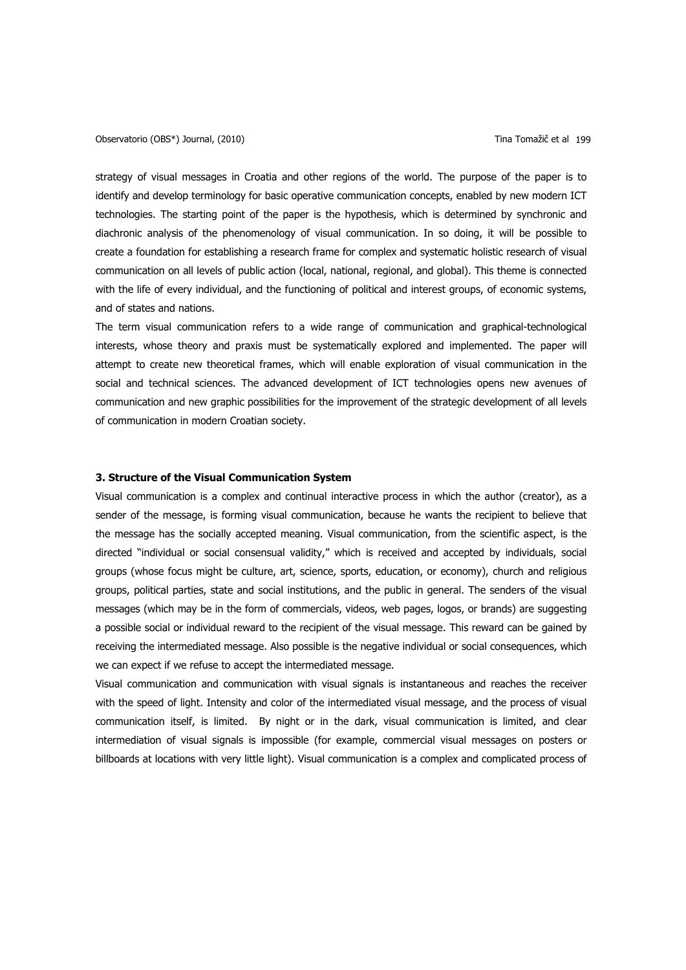Observatorio (OBS\*) Journal, (2010) Tina Tomažič et al 199

strategy of visual messages in Croatia and other regions of the world. The purpose of the paper is to identify and develop terminology for basic operative communication concepts, enabled by new modern ICT technologies. The starting point of the paper is the hypothesis, which is determined by synchronic and diachronic analysis of the phenomenology of visual communication. In so doing, it will be possible to create a foundation for establishing a research frame for complex and systematic holistic research of visual communication on all levels of public action (local, national, regional, and global). This theme is connected with the life of every individual, and the functioning of political and interest groups, of economic systems, and of states and nations.

The term visual communication refers to a wide range of communication and graphical-technological interests, whose theory and praxis must be systematically explored and implemented. The paper will attempt to create new theoretical frames, which will enable exploration of visual communication in the social and technical sciences. The advanced development of ICT technologies opens new avenues of communication and new graphic possibilities for the improvement of the strategic development of all levels of communication in modern Croatian society.

### **3. Structure of the Visual Communication System**

Visual communication is a complex and continual interactive process in which the author (creator), as a sender of the message, is forming visual communication, because he wants the recipient to believe that the message has the socially accepted meaning. Visual communication, from the scientific aspect, is the directed "individual or social consensual validity," which is received and accepted by individuals, social groups (whose focus might be culture, art, science, sports, education, or economy), church and religious groups, political parties, state and social institutions, and the public in general. The senders of the visual messages (which may be in the form of commercials, videos, web pages, logos, or brands) are suggesting a possible social or individual reward to the recipient of the visual message. This reward can be gained by receiving the intermediated message. Also possible is the negative individual or social consequences, which we can expect if we refuse to accept the intermediated message.

Visual communication and communication with visual signals is instantaneous and reaches the receiver with the speed of light. Intensity and color of the intermediated visual message, and the process of visual communication itself, is limited. By night or in the dark, visual communication is limited, and clear intermediation of visual signals is impossible (for example, commercial visual messages on posters or billboards at locations with very little light). Visual communication is a complex and complicated process of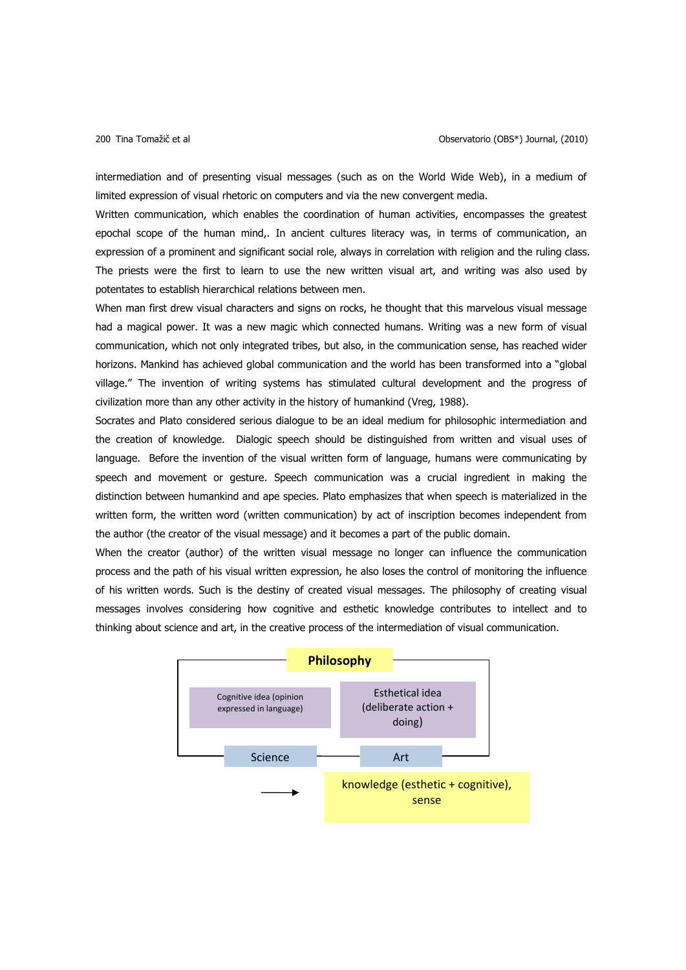intermediation and of presenting visual messages (such as on the World Wide Web), in a medium of limited expression of visual rhetoric on computers and via the new convergent media.

Written communication, which enables the coordination of human activities, encompasses the greatest epochal scope of the human mind,. In ancient cultures literacy was, in terms of communication, an expression of a prominent and significant social role, always in correlation with religion and the ruling class. The priests were the first to learn to use the new written visual art, and writing was also used by potentates to establish hierarchical relations between men.

When man first drew visual characters and signs on rocks, he thought that this marvelous visual message had a magical power. It was a new magic which connected humans. Writing was a new form of visual communication, which not only integrated tribes, but also, in the communication sense, has reached wider horizons. Mankind has achieved global communication and the world has been transformed into a "global village." The invention of writing systems has stimulated cultural development and the progress of civilization more than any other activity in the history of humankind (Vreg, 1988).

Socrates and Plato considered serious dialogue to be an ideal medium for philosophic intermediation and the creation of knowledge. Dialogic speech should be distinguished from written and visual uses of language. Before the invention of the visual written form of language, humans were communicating by speech and movement or gesture. Speech communication was a crucial ingredient in making the distinction between humankind and ape species. Plato emphasizes that when speech is materialized in the written form, the written word (written communication) by act of inscription becomes independent from the author (the creator of the visual message) and it becomes a part of the public domain.

When the creator (author) of the written visual message no longer can influence the communication process and the path of his visual written expression, he also loses the control of monitoring the influence of his written words. Such is the destiny of created visual messages. The philosophy of creating visual messages involves considering how cognitive and esthetic knowledge contributes to intellect and to thinking about science and art, in the creative process of the intermediation of visual communication.

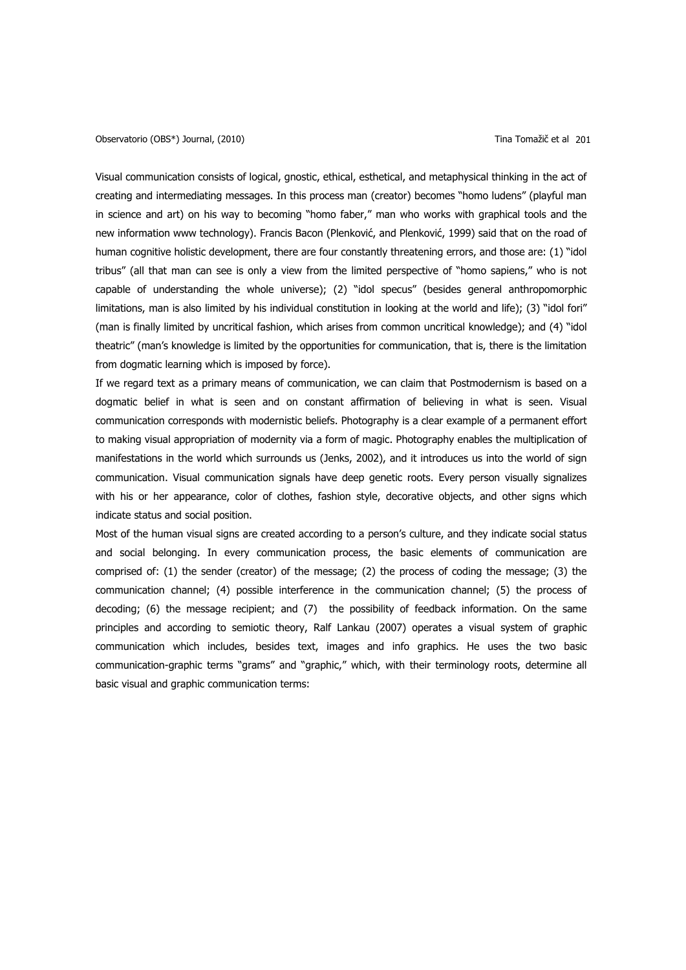Visual communication consists of logical, gnostic, ethical, esthetical, and metaphysical thinking in the act of creating and intermediating messages. In this process man (creator) becomes "homo ludens" (playful man in science and art) on his way to becoming "homo faber," man who works with graphical tools and the new information www technology). Francis Bacon (Plenković, and Plenković, 1999) said that on the road of human cognitive holistic development, there are four constantly threatening errors, and those are: (1) "idol tribus" (all that man can see is only a view from the limited perspective of "homo sapiens," who is not capable of understanding the whole universe); (2) "idol specus" (besides general anthropomorphic limitations, man is also limited by his individual constitution in looking at the world and life); (3) "idol fori" (man is finally limited by uncritical fashion, which arises from common uncritical knowledge); and (4) "idol theatric" (man's knowledge is limited by the opportunities for communication, that is, there is the limitation from dogmatic learning which is imposed by force).

If we regard text as a primary means of communication, we can claim that Postmodernism is based on a dogmatic belief in what is seen and on constant affirmation of believing in what is seen. Visual communication corresponds with modernistic beliefs. Photography is a clear example of a permanent effort to making visual appropriation of modernity via a form of magic. Photography enables the multiplication of manifestations in the world which surrounds us (Jenks, 2002), and it introduces us into the world of sign communication. Visual communication signals have deep genetic roots. Every person visually signalizes with his or her appearance, color of clothes, fashion style, decorative objects, and other signs which indicate status and social position.

Most of the human visual signs are created according to a person's culture, and they indicate social status and social belonging. In every communication process, the basic elements of communication are comprised of: (1) the sender (creator) of the message; (2) the process of coding the message; (3) the communication channel; (4) possible interference in the communication channel; (5) the process of decoding; (6) the message recipient; and (7) the possibility of feedback information. On the same principles and according to semiotic theory, Ralf Lankau (2007) operates a visual system of graphic communication which includes, besides text, images and info graphics. He uses the two basic communication-graphic terms "grams" and "graphic," which, with their terminology roots, determine all basic visual and graphic communication terms: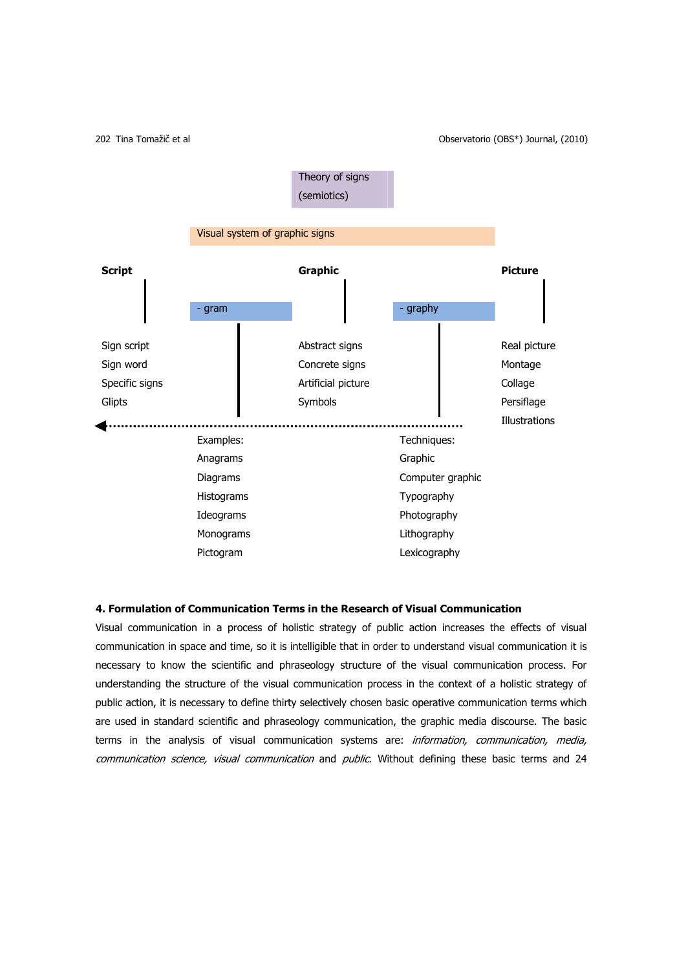

### **4. Formulation of Communication Terms in the Research of Visual Communication**

Visual communication in a process of holistic strategy of public action increases the effects of visual communication in space and time, so it is intelligible that in order to understand visual communication it is necessary to know the scientific and phraseology structure of the visual communication process. For understanding the structure of the visual communication process in the context of a holistic strategy of public action, it is necessary to define thirty selectively chosen basic operative communication terms which are used in standard scientific and phraseology communication, the graphic media discourse. The basic terms in the analysis of visual communication systems are: *information, communication, media,* communication science, visual communication and public. Without defining these basic terms and 24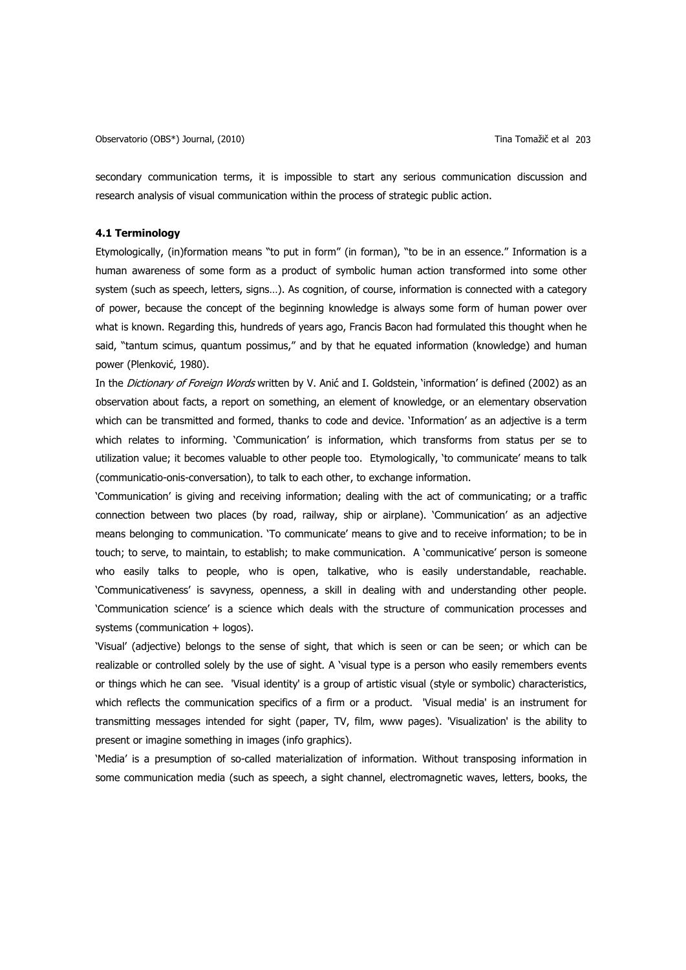secondary communication terms, it is impossible to start any serious communication discussion and research analysis of visual communication within the process of strategic public action.

# **4.1 Terminology**

Etymologically, (in)formation means "to put in form" (in forman), "to be in an essence." Information is a human awareness of some form as a product of symbolic human action transformed into some other system (such as speech, letters, signs…). As cognition, of course, information is connected with a category of power, because the concept of the beginning knowledge is always some form of human power over what is known. Regarding this, hundreds of years ago, Francis Bacon had formulated this thought when he said, "tantum scimus, quantum possimus," and by that he equated information (knowledge) and human power (Plenković, 1980).

In the Dictionary of Foreign Words written by V. Anić and I. Goldstein, 'information' is defined (2002) as an observation about facts, a report on something, an element of knowledge, or an elementary observation which can be transmitted and formed, thanks to code and device. 'Information' as an adjective is a term which relates to informing. 'Communication' is information, which transforms from status per se to utilization value; it becomes valuable to other people too. Etymologically, 'to communicate' means to talk (communicatio-onis-conversation), to talk to each other, to exchange information.

'Communication' is giving and receiving information; dealing with the act of communicating; or a traffic connection between two places (by road, railway, ship or airplane). 'Communication' as an adjective means belonging to communication. 'To communicate' means to give and to receive information; to be in touch; to serve, to maintain, to establish; to make communication. A 'communicative' person is someone who easily talks to people, who is open, talkative, who is easily understandable, reachable. 'Communicativeness' is savyness, openness, a skill in dealing with and understanding other people. 'Communication science' is a science which deals with the structure of communication processes and systems (communication + logos).

'Visual' (adjective) belongs to the sense of sight, that which is seen or can be seen; or which can be realizable or controlled solely by the use of sight. A 'visual type is a person who easily remembers events or things which he can see. 'Visual identity' is a group of artistic visual (style or symbolic) characteristics, which reflects the communication specifics of a firm or a product. 'Visual media' is an instrument for transmitting messages intended for sight (paper, TV, film, www pages). 'Visualization' is the ability to present or imagine something in images (info graphics).

'Media' is a presumption of so-called materialization of information. Without transposing information in some communication media (such as speech, a sight channel, electromagnetic waves, letters, books, the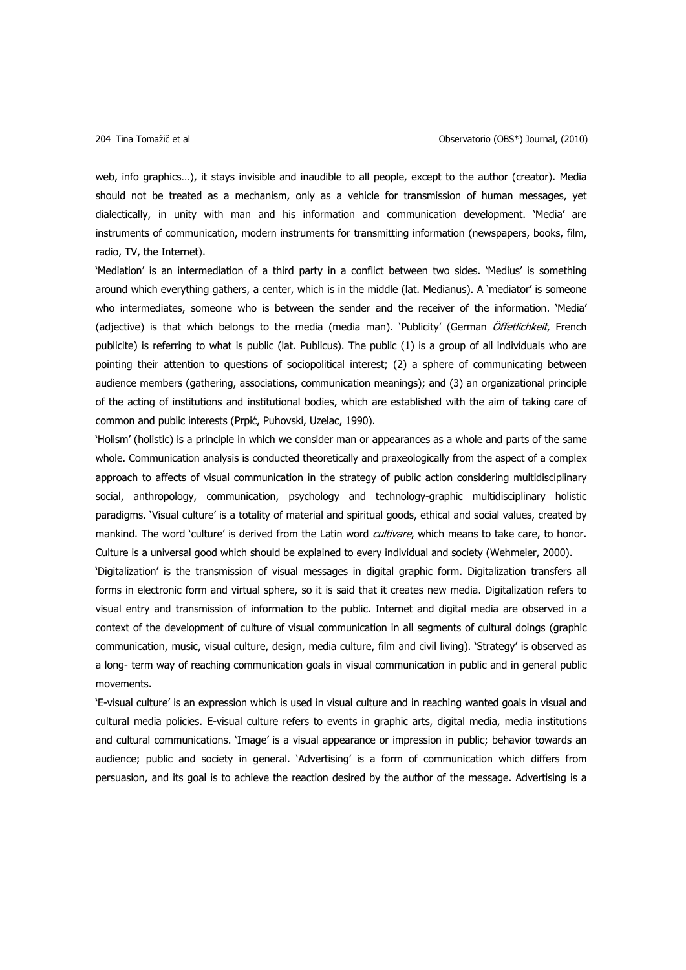web, info graphics…), it stays invisible and inaudible to all people, except to the author (creator). Media should not be treated as a mechanism, only as a vehicle for transmission of human messages, yet dialectically, in unity with man and his information and communication development. 'Media' are instruments of communication, modern instruments for transmitting information (newspapers, books, film, radio, TV, the Internet).

'Mediation' is an intermediation of a third party in a conflict between two sides. 'Medius' is something around which everything gathers, a center, which is in the middle (lat. Medianus). A 'mediator' is someone who intermediates, someone who is between the sender and the receiver of the information. 'Media' (adjective) is that which belongs to the media (media man). 'Publicity' (German Öffetlichkeit, French publicite) is referring to what is public (lat. Publicus). The public (1) is a group of all individuals who are pointing their attention to questions of sociopolitical interest; (2) a sphere of communicating between audience members (gathering, associations, communication meanings); and (3) an organizational principle of the acting of institutions and institutional bodies, which are established with the aim of taking care of common and public interests (Prpić, Puhovski, Uzelac, 1990).

'Holism' (holistic) is a principle in which we consider man or appearances as a whole and parts of the same whole. Communication analysis is conducted theoretically and praxeologically from the aspect of a complex approach to affects of visual communication in the strategy of public action considering multidisciplinary social, anthropology, communication, psychology and technology-graphic multidisciplinary holistic paradigms. 'Visual culture' is a totality of material and spiritual goods, ethical and social values, created by mankind. The word 'culture' is derived from the Latin word cultivare, which means to take care, to honor. Culture is a universal good which should be explained to every individual and society (Wehmeier, 2000).

'Digitalization' is the transmission of visual messages in digital graphic form. Digitalization transfers all forms in electronic form and virtual sphere, so it is said that it creates new media. Digitalization refers to visual entry and transmission of information to the public. Internet and digital media are observed in a context of the development of culture of visual communication in all segments of cultural doings (graphic communication, music, visual culture, design, media culture, film and civil living). 'Strategy' is observed as a long- term way of reaching communication goals in visual communication in public and in general public movements.

'E-visual culture' is an expression which is used in visual culture and in reaching wanted goals in visual and cultural media policies. E-visual culture refers to events in graphic arts, digital media, media institutions and cultural communications. 'Image' is a visual appearance or impression in public; behavior towards an audience; public and society in general. 'Advertising' is a form of communication which differs from persuasion, and its goal is to achieve the reaction desired by the author of the message. Advertising is a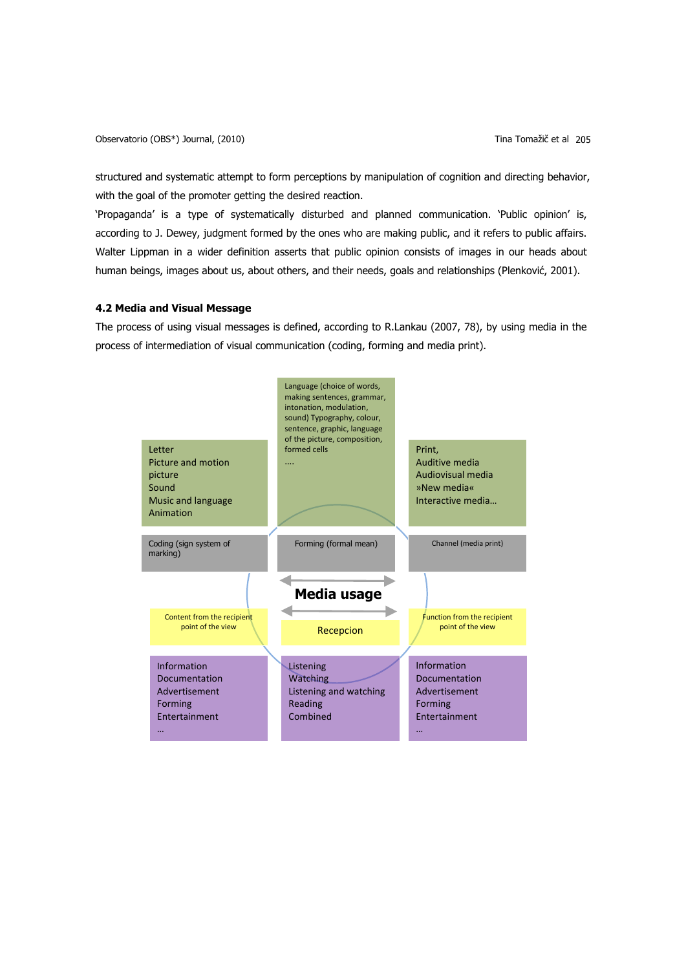Observatorio (OBS\*) Journal, (2010) Tina Tomažič et al 205

structured and systematic attempt to form perceptions by manipulation of cognition and directing behavior, with the goal of the promoter getting the desired reaction.

'Propaganda' is a type of systematically disturbed and planned communication. 'Public opinion' is, according to J. Dewey, judgment formed by the ones who are making public, and it refers to public affairs. Walter Lippman in a wider definition asserts that public opinion consists of images in our heads about human beings, images about us, about others, and their needs, goals and relationships (Plenković, 2001).

## **4.2 Media and Visual Message**

The process of using visual messages is defined, according to R.Lankau (2007, 78), by using media in the process of intermediation of visual communication (coding, forming and media print).

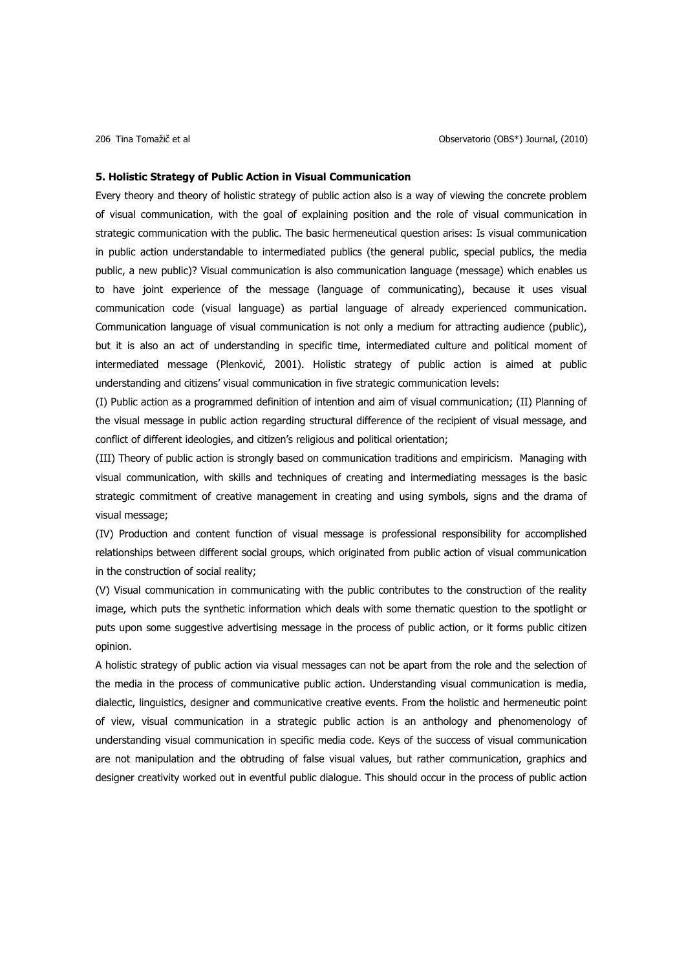#### **5. Holistic Strategy of Public Action in Visual Communication**

Every theory and theory of holistic strategy of public action also is a way of viewing the concrete problem of visual communication, with the goal of explaining position and the role of visual communication in strategic communication with the public. The basic hermeneutical question arises: Is visual communication in public action understandable to intermediated publics (the general public, special publics, the media public, a new public)? Visual communication is also communication language (message) which enables us to have joint experience of the message (language of communicating), because it uses visual communication code (visual language) as partial language of already experienced communication. Communication language of visual communication is not only a medium for attracting audience (public), but it is also an act of understanding in specific time, intermediated culture and political moment of intermediated message (Plenković, 2001). Holistic strategy of public action is aimed at public understanding and citizens' visual communication in five strategic communication levels:

(I) Public action as a programmed definition of intention and aim of visual communication; (II) Planning of the visual message in public action regarding structural difference of the recipient of visual message, and conflict of different ideologies, and citizen's religious and political orientation;

(III) Theory of public action is strongly based on communication traditions and empiricism. Managing with visual communication, with skills and techniques of creating and intermediating messages is the basic strategic commitment of creative management in creating and using symbols, signs and the drama of visual message;

(IV) Production and content function of visual message is professional responsibility for accomplished relationships between different social groups, which originated from public action of visual communication in the construction of social reality;

(V) Visual communication in communicating with the public contributes to the construction of the reality image, which puts the synthetic information which deals with some thematic question to the spotlight or puts upon some suggestive advertising message in the process of public action, or it forms public citizen opinion.

A holistic strategy of public action via visual messages can not be apart from the role and the selection of the media in the process of communicative public action. Understanding visual communication is media, dialectic, linguistics, designer and communicative creative events. From the holistic and hermeneutic point of view, visual communication in a strategic public action is an anthology and phenomenology of understanding visual communication in specific media code. Keys of the success of visual communication are not manipulation and the obtruding of false visual values, but rather communication, graphics and designer creativity worked out in eventful public dialogue. This should occur in the process of public action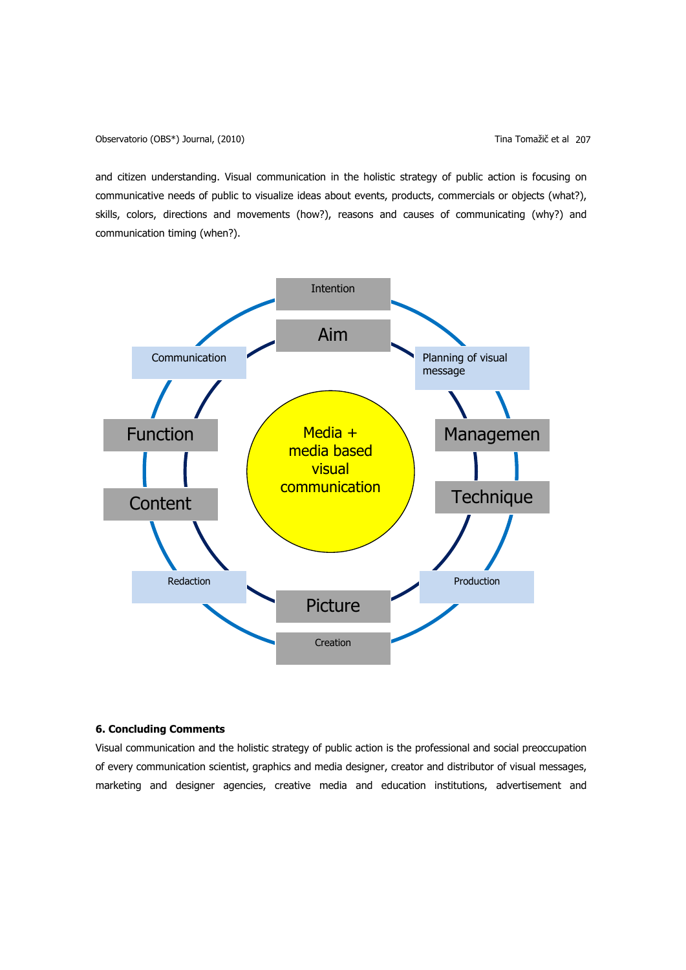and citizen understanding. Visual communication in the holistic strategy of public action is focusing on communicative needs of public to visualize ideas about events, products, commercials or objects (what?), skills, colors, directions and movements (how?), reasons and causes of communicating (why?) and communication timing (when?).



## **6. Concluding Comments**

Visual communication and the holistic strategy of public action is the professional and social preoccupation of every communication scientist, graphics and media designer, creator and distributor of visual messages, marketing and designer agencies, creative media and education institutions, advertisement and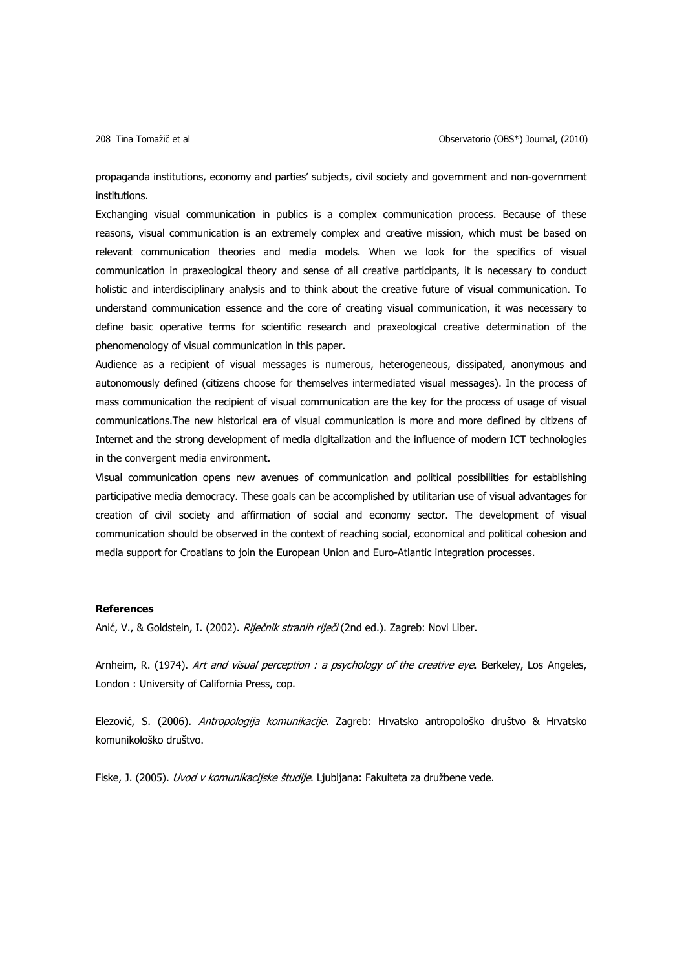propaganda institutions, economy and parties' subjects, civil society and government and non-government institutions.

Exchanging visual communication in publics is a complex communication process. Because of these reasons, visual communication is an extremely complex and creative mission, which must be based on relevant communication theories and media models. When we look for the specifics of visual communication in praxeological theory and sense of all creative participants, it is necessary to conduct holistic and interdisciplinary analysis and to think about the creative future of visual communication. To understand communication essence and the core of creating visual communication, it was necessary to define basic operative terms for scientific research and praxeological creative determination of the phenomenology of visual communication in this paper.

Audience as a recipient of visual messages is numerous, heterogeneous, dissipated, anonymous and autonomously defined (citizens choose for themselves intermediated visual messages). In the process of mass communication the recipient of visual communication are the key for the process of usage of visual communications.The new historical era of visual communication is more and more defined by citizens of Internet and the strong development of media digitalization and the influence of modern ICT technologies in the convergent media environment.

Visual communication opens new avenues of communication and political possibilities for establishing participative media democracy. These goals can be accomplished by utilitarian use of visual advantages for creation of civil society and affirmation of social and economy sector. The development of visual communication should be observed in the context of reaching social, economical and political cohesion and media support for Croatians to join the European Union and Euro-Atlantic integration processes.

### **References**

Anić, V., & Goldstein, I. (2002). Riječnik stranih riječi (2nd ed.). Zagreb: Novi Liber.

Arnheim, R. (1974). Art and visual perception : a psychology of the creative eye**.** Berkeley, Los Angeles, London : University of California Press, cop.

Elezović, S. (2006). Antropologija komunikacije. Zagreb: Hrvatsko antropološko društvo & Hrvatsko komunikološko društvo.

Fiske, J. (2005). *Uvod v komunikacijske študije*. Ljubljana: Fakulteta za družbene vede.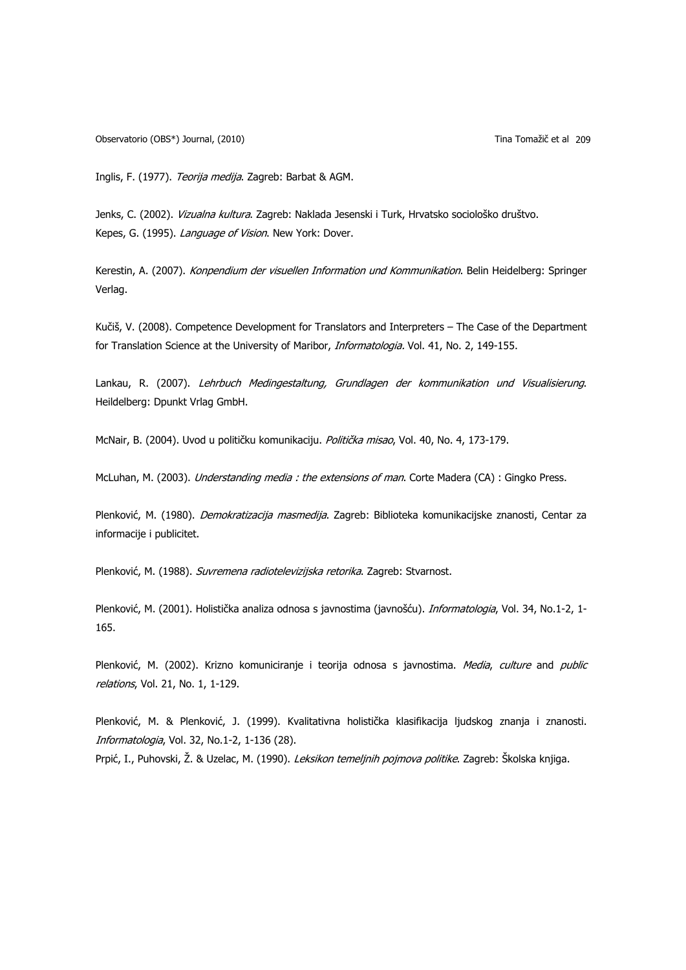Observatorio (OBS\*) Journal, (2010) Tina Tomažič et al 209

Inglis, F. (1977). Teorija medija. Zagreb: Barbat & AGM.

Jenks, C. (2002). Vizualna kultura. Zagreb: Naklada Jesenski i Turk, Hrvatsko sociološko društvo. Kepes, G. (1995). Language of Vision. New York: Dover.

Kerestin, A. (2007). Konpendium der visuellen Information und Kommunikation. Belin Heidelberg: Springer Verlag.

Kučiš, V. (2008). Competence Development for Translators and Interpreters – The Case of the Department for Translation Science at the University of Maribor, Informatologia. Vol. 41, No. 2, 149-155.

Lankau, R. (2007). Lehrbuch Medingestaltung, Grundlagen der kommunikation und Visualisierung. Heildelberg: Dpunkt Vrlag GmbH.

McNair, B. (2004). Uvod u političku komunikaciju. Politička misao, Vol. 40, No. 4, 173-179.

McLuhan, M. (2003). *Understanding media : the extensions of man*. Corte Madera (CA) : Gingko Press.

Plenković, M. (1980). Demokratizacija masmedija. Zagreb: Biblioteka komunikacijske znanosti, Centar za informacije i publicitet.

Plenković, M. (1988). Suvremena radiotelevizijska retorika. Zagreb: Stvarnost.

Plenković, M. (2001). Holistička analiza odnosa s javnostima (javnošću). *Informatologia*, Vol. 34, No.1-2, 1-165.

Plenković, M. (2002). Krizno komuniciranje i teorija odnosa s javnostima. Media, culture and public relations, Vol. 21, No. 1, 1-129.

Plenković, M. & Plenković, J. (1999). Kvalitativna holistička klasifikacija ljudskog znanja i znanosti. Informatologia, Vol. 32, No.1-2, 1-136 (28).

Prpić, I., Puhovski, Ž. & Uzelac, M. (1990). Leksikon temeljnih pojmova politike. Zagreb: Školska knjiga.